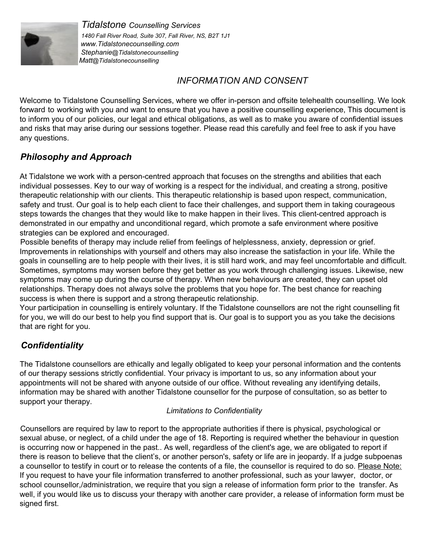

*Tidalstone Counselling Services 1480 Fall River Road, Suite 307, Fall River, NS, B2T 1J1 www.Tidalstonecounselling.com Stephanie@Tidalstonecounselling Matt@Tidalstonecounselling*

## *INFORMATION AND CONSENT*

Welcome to Tidalstone Counselling Services, where we offer in-person and offsite telehealth counselling. We look forward to working with you and want to ensure that you have a positive counselling experience, This document is to inform you of our policies, our legal and ethical obligations, as well as to make you aware of confidential issues and risks that may arise during our sessions together. Please read this carefully and feel free to ask if you have any questions.

# *Philosophy and Approach*

At Tidalstone we work with a person-centred approach that focuses on the strengths and abilities that each individual possesses. Key to our way of working is a respect for the individual, and creating a strong, positive therapeutic relationship with our clients. This therapeutic relationship is based upon respect, communication, safety and trust. Our goal is to help each client to face their challenges, and support them in taking courageous steps towards the changes that they would like to make happen in their lives. This client-centred approach is demonstrated in our empathy and unconditional regard, which promote a safe environment where positive strategies can be explored and encouraged.

Possible benefits of therapy may include relief from feelings of helplessness, anxiety, depression or grief. Improvements in relationships with yourself and others may also increase the satisfaction in your life. While the goals in counselling are to help people with their lives, it is still hard work, and may feel uncomfortable and difficult. Sometimes, symptoms may worsen before they get better as you work through challenging issues. Likewise, new symptoms may come up during the course of therapy. When new behaviours are created, they can upset old relationships. Therapy does not always solve the problems that you hope for. The best chance for reaching success is when there is support and a strong therapeutic relationship.

Your participation in counselling is entirely voluntary. If the Tidalstone counsellors are not the right counselling fit for you, we will do our best to help you find support that is. Our goal is to support you as you take the decisions that are right for you.

# *Confidentiality*

The Tidalstone counsellors are ethically and legally obligated to keep your personal information and the contents of our therapy sessions strictly confidential. Your privacy is important to us, so any information about your appointments will not be shared with anyone outside of our office. Without revealing any identifying details, information may be shared with another Tidalstone counsellor for the purpose of consultation, so as better to support your therapy.

#### *Limitations to Confidentiality*

Counsellors are required by law to report to the appropriate authorities if there is physical, psychological or sexual abuse, or neglect, of a child under the age of 18. Reporting is required whether the behaviour in question is occurring now or happened in the past.. As well, regardless of the client's age, we are obligated to report if there is reason to believe that the client's, or another person's, safety or life are in jeopardy. If a judge subpoenas a counsellor to testify in court or to release the contents of a file, the counsellor is required to do so. Please Note: If you request to have your file information transferred to another professional, such as your lawyer, doctor, or school counsellor,/administration, we require that you sign a release of information form prior to the transfer. As well, if you would like us to discuss your therapy with another care provider, a release of information form must be signed first.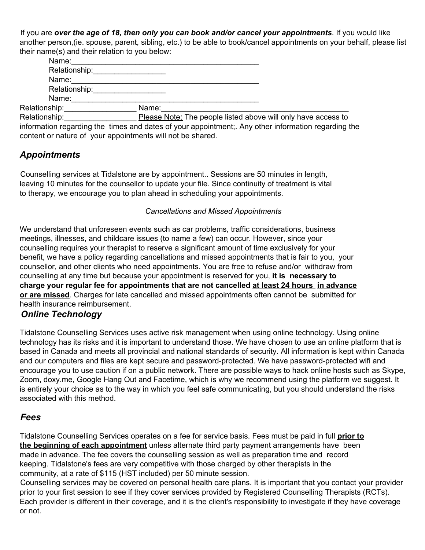If you are *over the age of 18, then only you can book and/or cancel your appointments*. If you would like another person,(ie. spouse, parent, sibling, etc.) to be able to book/cancel appointments on your behalf, please list their name(s) and their relation to you below:

| Name:                                                                                                                                                                                                                          |                                                               |
|--------------------------------------------------------------------------------------------------------------------------------------------------------------------------------------------------------------------------------|---------------------------------------------------------------|
| Relationship:                                                                                                                                                                                                                  |                                                               |
| Name:                                                                                                                                                                                                                          |                                                               |
| Relationship: Network of the state of the state of the state of the state of the state of the state of the state of the state of the state of the state of the state of the state of the state of the state of the state of th |                                                               |
| Name:                                                                                                                                                                                                                          |                                                               |
| Relationship:                                                                                                                                                                                                                  | Name:                                                         |
| Relationship:                                                                                                                                                                                                                  | Please Note: The people listed above will only have access to |

information regarding the times and dates of your appointment;. Any other information regarding the content or nature of your appointments will not be shared.

## *Appointments*

Counselling services at Tidalstone are by appointment.. Sessions are 50 minutes in length, leaving 10 minutes for the counsellor to update your file. Since continuity of treatment is vital to therapy, we encourage you to plan ahead in scheduling your appointments.

#### *Cancellations and Missed Appointments*

We understand that unforeseen events such as car problems, traffic considerations, business meetings, illnesses, and childcare issues (to name a few) can occur. However, since your counselling requires your therapist to reserve a significant amount of time exclusively for your benefit, we have a policy regarding cancellations and missed appointments that is fair to you, your counsellor, and other clients who need appointments. You are free to refuse and/or withdraw from counselling at any time but because your appointment is reserved for you, **it is necessary to charge your regular fee for appointments that are not cancelled at least 24 hours in advance or are missed**. Charges for late cancelled and missed appointments often cannot be submitted for health insurance reimbursement.

### *Online Technology*

Tidalstone Counselling Services uses active risk management when using online technology. Using online technology has its risks and it is important to understand those. We have chosen to use an online platform that is based in Canada and meets all provincial and national standards of security. All information is kept within Canada and our computers and files are kept secure and password-protected. We have password-protected wifi and encourage you to use caution if on a public network. There are possible ways to hack online hosts such as Skype, Zoom, doxy.me, Google Hang Out and Facetime, which is why we recommend using the platform we suggest. It is entirely your choice as to the way in which you feel safe communicating, but you should understand the risks associated with this method.

#### *Fees*

Tidalstone Counselling Services operates on a fee for service basis. Fees must be paid in full **prior to the beginning of each appointment** unless alternate third party payment arrangements have been made in advance. The fee covers the counselling session as well as preparation time and record keeping. Tidalstone's fees are very competitive with those charged by other therapists in the community, at a rate of \$115 (HST included) per 50 minute session.

Counselling services may be covered on personal health care plans. It is important that you contact your provider prior to your first session to see if they cover services provided by Registered Counselling Therapists (RCTs). Each provider is different in their coverage, and it is the client's responsibility to investigate if they have coverage or not.